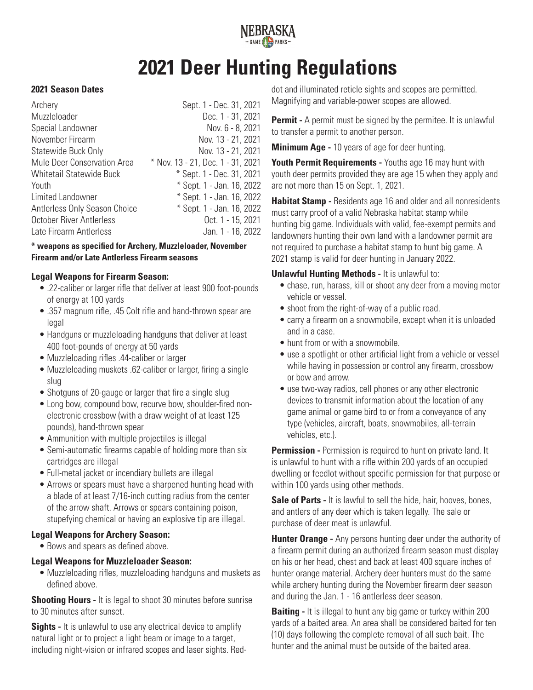

# **2021 Deer Hunting Regulations**

## **2021 Season Dates**

| Archery                              | Sept. 1 - Dec. 31, 2021           |
|--------------------------------------|-----------------------------------|
| Muzzleloader                         | Dec. 1 - 31, 2021                 |
| Special Landowner                    | Nov. 6 - 8, 2021                  |
| November Firearm                     | Nov. 13 - 21, 2021                |
| Statewide Buck Only                  | Nov. 13 - 21, 2021                |
| <b>Mule Deer Conservation Area</b>   | * Nov. 13 - 21, Dec. 1 - 31, 2021 |
| <b>Whitetail Statewide Buck</b>      | * Sept. 1 - Dec. 31, 2021         |
| Youth                                | * Sept. 1 - Jan. 16, 2022         |
| Limited Landowner                    | * Sept. 1 - Jan. 16, 2022         |
| <b>Antlerless Only Season Choice</b> | * Sept. 1 - Jan. 16, 2022         |
| <b>October River Antlerless</b>      | Oct. 1 - 15, 2021                 |
| Late Firearm Antlerless              | Jan. 1 - 16, 2022                 |

#### **\* weapons as specified for Archery, Muzzleloader, November Firearm and/or Late Antlerless Firearm seasons**

## **Legal Weapons for Firearm Season:**

- .22-caliber or larger rifle that deliver at least 900 foot-pounds of energy at 100 yards
- .357 magnum rifle, .45 Colt rifle and hand-thrown spear are legal
- Handguns or muzzleloading handguns that deliver at least 400 foot-pounds of energy at 50 yards
- Muzzleloading rifles .44-caliber or larger
- Muzzleloading muskets .62-caliber or larger, firing a single slug
- Shotguns of 20-gauge or larger that fire a single slug
- Long bow, compound bow, recurve bow, shoulder-fired nonelectronic crossbow (with a draw weight of at least 125 pounds), hand-thrown spear
- Ammunition with multiple projectiles is illegal
- Semi-automatic firearms capable of holding more than six cartridges are illegal
- Full-metal jacket or incendiary bullets are illegal
- Arrows or spears must have a sharpened hunting head with a blade of at least 7/16-inch cutting radius from the center of the arrow shaft. Arrows or spears containing poison, stupefying chemical or having an explosive tip are illegal.

#### **Legal Weapons for Archery Season:**

• Bows and spears as defined above.

#### **Legal Weapons for Muzzleloader Season:**

• Muzzleloading rifles, muzzleloading handguns and muskets as defined above.

**Shooting Hours - It is legal to shoot 30 minutes before sunrise** to 30 minutes after sunset.

**Sights -** It is unlawful to use any electrical device to amplify natural light or to project a light beam or image to a target, including night-vision or infrared scopes and laser sights. Reddot and illuminated reticle sights and scopes are permitted. Magnifying and variable-power scopes are allowed.

**Permit -** A permit must be signed by the permitee. It is unlawful to transfer a permit to another person.

**Minimum Age -** 10 years of age for deer hunting.

**Youth Permit Requirements - Youths age 16 may hunt with** youth deer permits provided they are age 15 when they apply and are not more than 15 on Sept. 1, 2021.

**Habitat Stamp - Residents age 16 and older and all nonresidents** must carry proof of a valid Nebraska habitat stamp while hunting big game. Individuals with valid, fee-exempt permits and landowners hunting their own land with a landowner permit are not required to purchase a habitat stamp to hunt big game. A 2021 stamp is valid for deer hunting in January 2022.

## **Unlawful Hunting Methods -** It is unlawful to:

- chase, run, harass, kill or shoot any deer from a moving motor vehicle or vessel.
- shoot from the right-of-way of a public road.
- carry a firearm on a snowmobile, except when it is unloaded and in a case.
- hunt from or with a snowmobile.
- use a spotlight or other artificial light from a vehicle or vessel while having in possession or control any firearm, crossbow or bow and arrow.
- use two-way radios, cell phones or any other electronic devices to transmit information about the location of any game animal or game bird to or from a conveyance of any type (vehicles, aircraft, boats, snowmobiles, all-terrain vehicles, etc.).

**Permission -** Permission is required to hunt on private land. It is unlawful to hunt with a rifle within 200 yards of an occupied dwelling or feedlot without specific permission for that purpose or within 100 yards using other methods.

**Sale of Parts -** It is lawful to sell the hide, hair, hooves, bones, and antlers of any deer which is taken legally. The sale or purchase of deer meat is unlawful.

**Hunter Orange -** Any persons hunting deer under the authority of a firearm permit during an authorized firearm season must display on his or her head, chest and back at least 400 square inches of hunter orange material. Archery deer hunters must do the same while archery hunting during the November firearm deer season and during the Jan. 1 - 16 antlerless deer season.

**Baiting -** It is illegal to hunt any big game or turkey within 200 yards of a baited area. An area shall be considered baited for ten (10) days following the complete removal of all such bait. The hunter and the animal must be outside of the baited area.